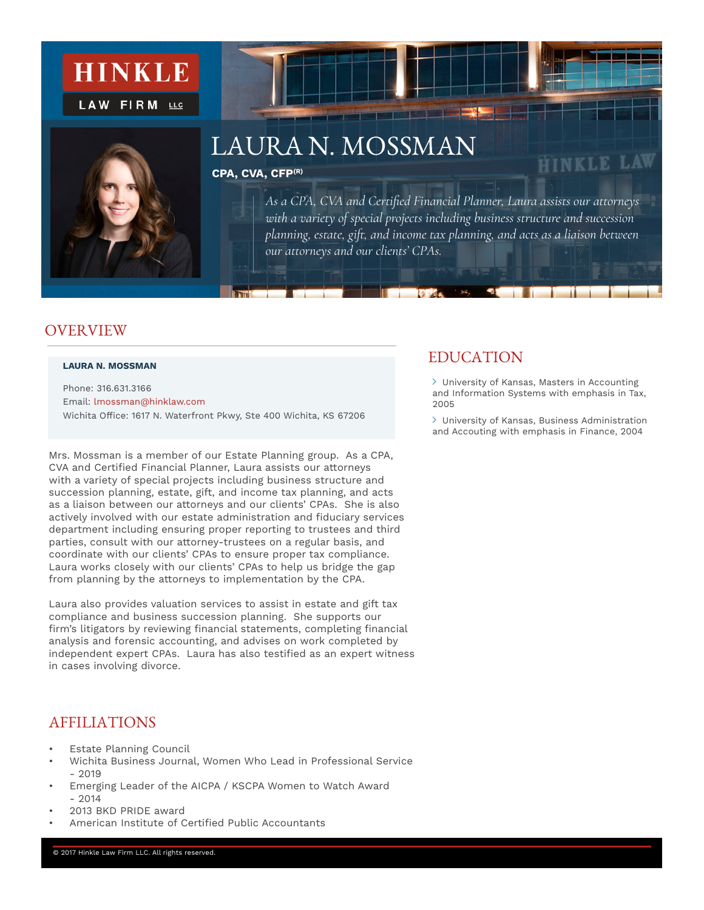



# LAURA N. MOSSMAN

#### **CPA, CVA, CFP(R)**

*As a CPA, CVA and Certified Financial Planner, Laura assists our attorneys with a variety of special projects including business structure and succession planning, estate, gift, and income tax planning, and acts as a liaison between our attorneys and our clients' CPAs.* 

 $\mathcal{S} \mathcal{L}_p$ 

#### **OVER VIEW**

#### **LAURA N. MOSSMAN**

Phone: 316.631.3166 Email: lmossman@hinklaw.com Wichita Office: 1617 N. Waterfront Pkwy, Ste 400 Wichita, KS 67206

Mrs. Mossman is a member of our Estate Planning group. As a CPA, CVA and Certified Financial Planner, Laura assists our attorneys with a variety of special projects including business structure and succession planning, estate, gift, and income tax planning, and acts as a liaison between our attorneys and our clients' CPAs. She is also actively involved with our estate administration and fiduciary services department including ensuring proper reporting to trustees and third parties, consult with our attorney-trustees on a regular basis, and coordinate with our clients' CPAs to ensure proper tax compliance. Laura works closely with our clients' CPAs to help us bridge the gap from planning by the attorneys to implementation by the CPA.

Laura also provides valuation services to assist in estate and gift tax compliance and business succession planning. She supports our firm's litigators by reviewing financial statements, completing financial analysis and forensic accounting, and advises on work completed by independent expert CPAs. Laura has also testified as an expert witness in cases involving divorce.

#### AFFILIATIONS

- **Estate Planning Council**
- Wichita Business Journal, Women Who Lead in Professional Service  $-2019$
- Emerging Leader of the AICPA / KSCPA Women to Watch Award  $-2014$
- 2013 BKD PRIDE award
- American Institute of Certified Public Accountants

#### EDUCATION

 University of Kansas, Masters in Accounting and Information Systems with emphasis in Tax, 2005

**HINKLE LAW** 

 University of Kansas, Business Administration and Accouting with emphasis in Finance, 2004